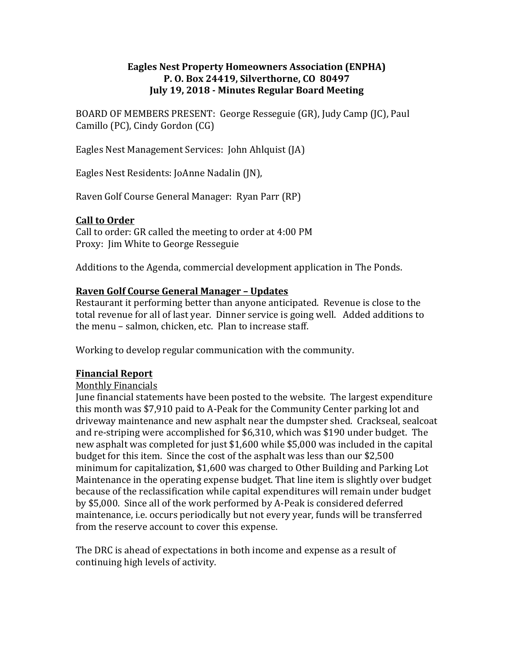### **Eagles Nest Property Homeowners Association (ENPHA) P. O. Box 24419, Silverthorne, CO 80497 July 19, 2018 - Minutes Regular Board Meeting**

BOARD OF MEMBERS PRESENT: George Resseguie (GR), Judy Camp (JC), Paul Camillo (PC), Cindy Gordon (CG)

Eagles Nest Management Services: John Ahlquist (JA)

Eagles Nest Residents: JoAnne Nadalin (JN),

Raven Golf Course General Manager: Ryan Parr (RP)

## **Call to Order**

Call to order: GR called the meeting to order at 4:00 PM Proxy: Jim White to George Resseguie

Additions to the Agenda, commercial development application in The Ponds.

## **Raven Golf Course General Manager – Updates**

Restaurant it performing better than anyone anticipated. Revenue is close to the total revenue for all of last year. Dinner service is going well. Added additions to the menu – salmon, chicken, etc. Plan to increase staff.

Working to develop regular communication with the community.

#### **Financial Report**

#### Monthly Financials

June financial statements have been posted to the website. The largest expenditure this month was \$7,910 paid to A-Peak for the Community Center parking lot and driveway maintenance and new asphalt near the dumpster shed. Crackseal, sealcoat and re-striping were accomplished for \$6,310, which was \$190 under budget. The new asphalt was completed for just \$1,600 while \$5,000 was included in the capital budget for this item. Since the cost of the asphalt was less than our \$2,500 minimum for capitalization, \$1,600 was charged to Other Building and Parking Lot Maintenance in the operating expense budget. That line item is slightly over budget because of the reclassification while capital expenditures will remain under budget by \$5,000. Since all of the work performed by A-Peak is considered deferred maintenance, i.e. occurs periodically but not every year, funds will be transferred from the reserve account to cover this expense.

The DRC is ahead of expectations in both income and expense as a result of continuing high levels of activity.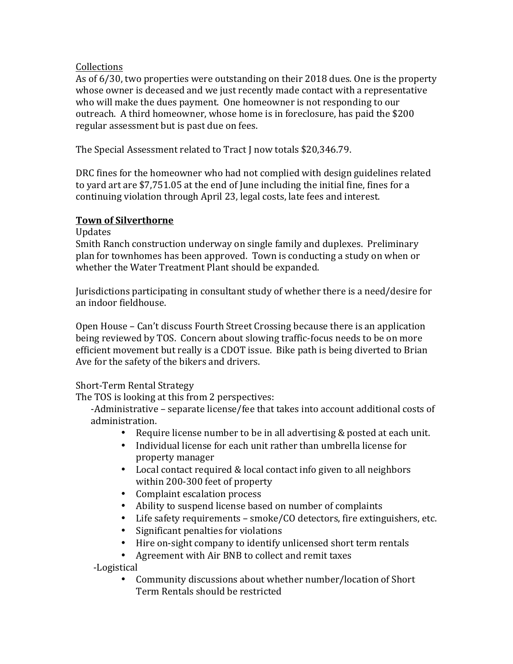## Collections

As of 6/30, two properties were outstanding on their 2018 dues. One is the property whose owner is deceased and we just recently made contact with a representative who will make the dues payment. One homeowner is not responding to our outreach. A third homeowner, whose home is in foreclosure, has paid the \$200 regular assessment but is past due on fees.

The Special Assessment related to Tract I now totals \$20,346.79.

DRC fines for the homeowner who had not complied with design guidelines related to yard art are \$7,751.05 at the end of June including the initial fine, fines for a continuing violation through April 23, legal costs, late fees and interest.

## **Town of Silverthorne**

Updates

Smith Ranch construction underway on single family and duplexes. Preliminary plan for townhomes has been approved. Town is conducting a study on when or whether the Water Treatment Plant should be expanded.

Jurisdictions participating in consultant study of whether there is a need/desire for an indoor fieldhouse.

Open House – Can't discuss Fourth Street Crossing because there is an application being reviewed by TOS. Concern about slowing traffic-focus needs to be on more efficient movement but really is a CDOT issue. Bike path is being diverted to Brian Ave for the safety of the bikers and drivers.

# Short-Term Rental Strategy

The TOS is looking at this from 2 perspectives:

-Administrative – separate license/fee that takes into account additional costs of administration.

- Require license number to be in all advertising & posted at each unit.
- Individual license for each unit rather than umbrella license for property manager
- Local contact required & local contact info given to all neighbors within 200-300 feet of property
- Complaint escalation process
- Ability to suspend license based on number of complaints
- Life safety requirements smoke/CO detectors, fire extinguishers, etc.
- Significant penalties for violations
- Hire on-sight company to identify unlicensed short term rentals
- Agreement with Air BNB to collect and remit taxes

 -Logistical

Community discussions about whether number/location of Short Term Rentals should be restricted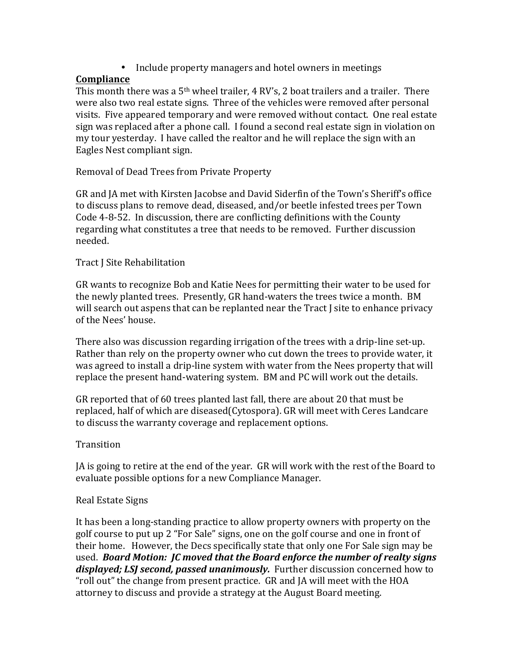• Include property managers and hotel owners in meetings

# **Compliance**

This month there was a  $5<sup>th</sup>$  wheel trailer, 4 RV's, 2 boat trailers and a trailer. There were also two real estate signs. Three of the vehicles were removed after personal visits. Five appeared temporary and were removed without contact. One real estate sign was replaced after a phone call. I found a second real estate sign in violation on my tour yesterday. I have called the realtor and he will replace the sign with an Eagles Nest compliant sign.

# Removal of Dead Trees from Private Property

GR and JA met with Kirsten Jacobse and David Siderfin of the Town's Sheriff's office to discuss plans to remove dead, diseased, and/or beetle infested trees per Town Code 4-8-52. In discussion, there are conflicting definitions with the County regarding what constitutes a tree that needs to be removed. Further discussion needed.

# Tract J Site Rehabilitation

GR wants to recognize Bob and Katie Nees for permitting their water to be used for the newly planted trees. Presently, GR hand-waters the trees twice a month. BM will search out aspens that can be replanted near the Tract I site to enhance privacy of the Nees' house.

There also was discussion regarding irrigation of the trees with a drip-line set-up. Rather than rely on the property owner who cut down the trees to provide water, it was agreed to install a drip-line system with water from the Nees property that will replace the present hand-watering system. BM and PC will work out the details.

GR reported that of 60 trees planted last fall, there are about 20 that must be replaced, half of which are diseased(Cytospora). GR will meet with Ceres Landcare to discuss the warranty coverage and replacement options.

# **Transition**

JA is going to retire at the end of the year. GR will work with the rest of the Board to evaluate possible options for a new Compliance Manager.

# Real Estate Signs

It has been a long-standing practice to allow property owners with property on the golf course to put up 2 "For Sale" signs, one on the golf course and one in front of their home. However, the Decs specifically state that only one For Sale sign may be used. Board Motion: *JC* moved that the Board enforce the number of realty signs *displayed; LSJ second, passed unanimously.* Further discussion concerned how to "roll out" the change from present practice. GR and JA will meet with the HOA attorney to discuss and provide a strategy at the August Board meeting.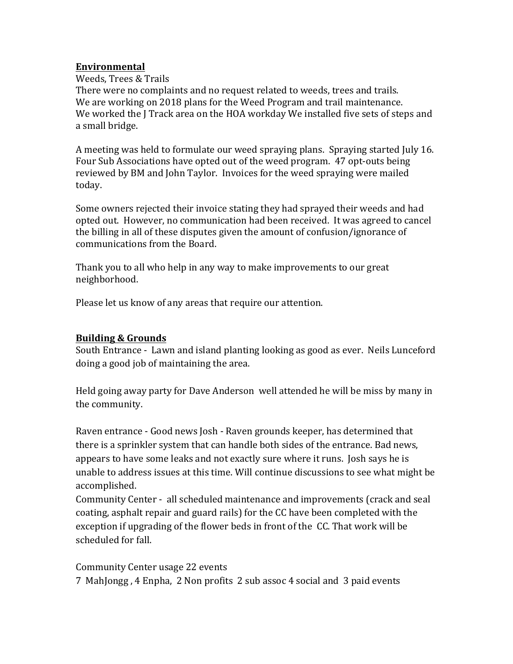### **Environmental**

Weeds, Trees & Trails

There were no complaints and no request related to weeds, trees and trails. We are working on 2018 plans for the Weed Program and trail maintenance. We worked the J Track area on the HOA workday We installed five sets of steps and a small bridge.

A meeting was held to formulate our weed spraying plans. Spraying started July 16. Four Sub Associations have opted out of the weed program. 47 opt-outs being reviewed by BM and John Taylor. Invoices for the weed spraying were mailed today.

Some owners rejected their invoice stating they had sprayed their weeds and had opted out. However, no communication had been received. It was agreed to cancel the billing in all of these disputes given the amount of confusion/ignorance of communications from the Board.

Thank you to all who help in any way to make improvements to our great neighborhood.

Please let us know of any areas that require our attention.

## **Building & Grounds**

South Entrance - Lawn and island planting looking as good as ever. Neils Lunceford doing a good job of maintaining the area.

Held going away party for Dave Anderson well attended he will be miss by many in the community.

Raven entrance - Good news Josh - Raven grounds keeper, has determined that there is a sprinkler system that can handle both sides of the entrance. Bad news, appears to have some leaks and not exactly sure where it runs. Josh says he is unable to address issues at this time. Will continue discussions to see what might be accomplished.

Community Center - all scheduled maintenance and improvements (crack and seal coating, asphalt repair and guard rails) for the CC have been completed with the exception if upgrading of the flower beds in front of the CC. That work will be scheduled for fall.

Community Center usage 22 events

7 MahJongg, 4 Enpha, 2 Non profits 2 sub assoc 4 social and 3 paid events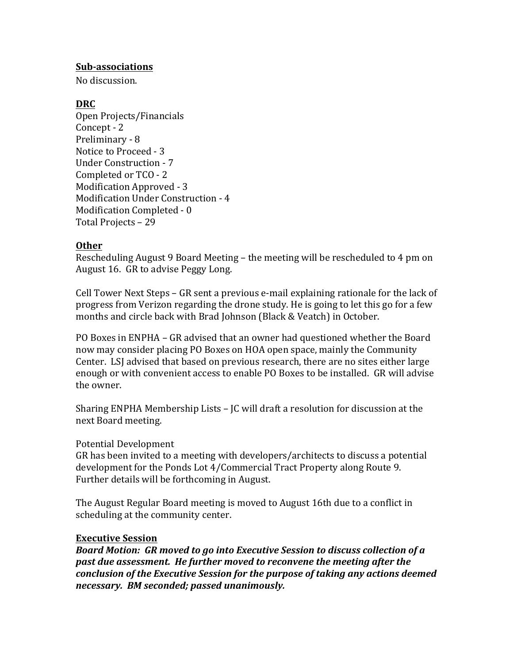#### **Sub-associations**

No discussion

### **DRC**

Open Projects/Financials Concept - 2 Preliminary - 8 Notice to Proceed - 3 Under Construction - 7 Completed or TCO - 2 Modification Approved - 3 Modification Under Construction - 4 Modification Completed - 0 Total Projects – 29

## **Other**

Rescheduling August 9 Board Meeting – the meeting will be rescheduled to 4 pm on August 16. GR to advise Peggy Long.

Cell Tower Next Steps – GR sent a previous e-mail explaining rationale for the lack of progress from Verizon regarding the drone study. He is going to let this go for a few months and circle back with Brad Johnson (Black & Veatch) in October.

PO Boxes in ENPHA – GR advised that an owner had questioned whether the Board now may consider placing PO Boxes on HOA open space, mainly the Community Center. LSJ advised that based on previous research, there are no sites either large enough or with convenient access to enable PO Boxes to be installed. GR will advise the owner.

Sharing ENPHA Membership Lists – JC will draft a resolution for discussion at the next Board meeting.

#### Potential Development

GR has been invited to a meeting with developers/architects to discuss a potential development for the Ponds Lot 4/Commercial Tract Property along Route 9. Further details will be forthcoming in August.

The August Regular Board meeting is moved to August 16th due to a conflict in scheduling at the community center.

#### **Executive Session**

**Board Motion: GR moved to go into Executive Session to discuss collection of a** past due assessment. He further moved to reconvene the meeting after the *conclusion of the Executive Session for the purpose of taking any actions deemed necessary. BM seconded; passed unanimously.*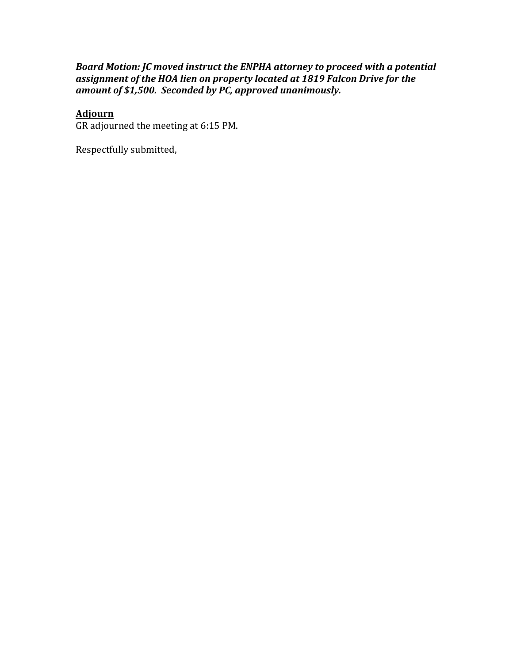## *Board Motion: JC moved instruct the ENPHA attorney to proceed with a potential* assignment of the HOA lien on property located at 1819 Falcon Drive for the *amount of \$1,500. Seconded by PC, approved unanimously.*

#### **Adjourn**

GR adjourned the meeting at 6:15 PM.

Respectfully submitted,